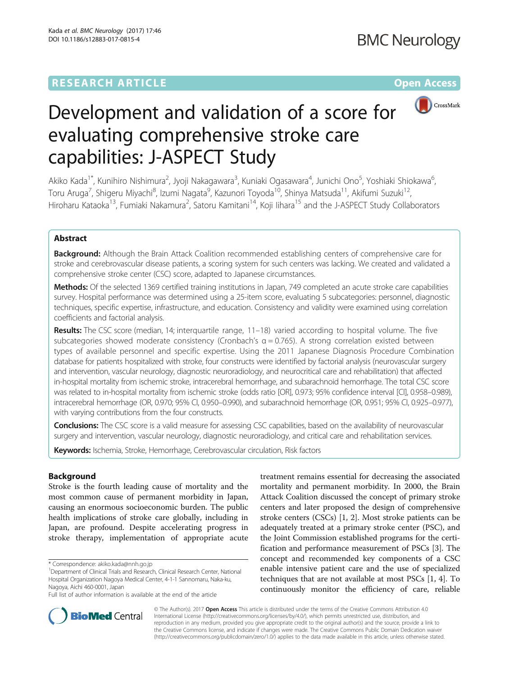# **RESEARCH ARTICLE Example 2014 12:30 The Contract of Contract ACCESS**



# Development and validation of a score for evaluating comprehensive stroke care capabilities: J-ASPECT Study

Akiko Kada<sup>1\*</sup>, Kunihiro Nishimura<sup>2</sup>, Jyoji Nakagawara<sup>3</sup>, Kuniaki Ogasawara<sup>4</sup>, Junichi Ono<sup>5</sup>, Yoshiaki Shiokawa<sup>6</sup> .<br>, Toru Aruga<sup>7</sup>, Shigeru Miyachi<sup>8</sup>, Izumi Nagata<sup>9</sup>, Kazunori Toyoda<sup>10</sup>, Shinya Matsuda<sup>11</sup>, Akifumi Suzuki<sup>12</sup>, Hiroharu Kataoka<sup>13</sup>, Fumiaki Nakamura<sup>2</sup>, Satoru Kamitani<sup>14</sup>, Koji lihara<sup>15</sup> and the J-ASPECT Study Collaborators

# Abstract

**Background:** Although the Brain Attack Coalition recommended establishing centers of comprehensive care for stroke and cerebrovascular disease patients, a scoring system for such centers was lacking. We created and validated a comprehensive stroke center (CSC) score, adapted to Japanese circumstances.

Methods: Of the selected 1369 certified training institutions in Japan, 749 completed an acute stroke care capabilities survey. Hospital performance was determined using a 25-item score, evaluating 5 subcategories: personnel, diagnostic techniques, specific expertise, infrastructure, and education. Consistency and validity were examined using correlation coefficients and factorial analysis.

Results: The CSC score (median, 14; interquartile range, 11-18) varied according to hospital volume. The five subcategories showed moderate consistency (Cronbach's α = 0.765). A strong correlation existed between types of available personnel and specific expertise. Using the 2011 Japanese Diagnosis Procedure Combination database for patients hospitalized with stroke, four constructs were identified by factorial analysis (neurovascular surgery and intervention, vascular neurology, diagnostic neuroradiology, and neurocritical care and rehabilitation) that affected in-hospital mortality from ischemic stroke, intracerebral hemorrhage, and subarachnoid hemorrhage. The total CSC score was related to in-hospital mortality from ischemic stroke (odds ratio [OR], 0.973; 95% confidence interval [CI], 0.958–0.989), intracerebral hemorrhage (OR, 0.970; 95% CI, 0.950–0.990), and subarachnoid hemorrhage (OR, 0.951; 95% CI, 0.925–0.977), with varying contributions from the four constructs.

**Conclusions:** The CSC score is a valid measure for assessing CSC capabilities, based on the availability of neurovascular surgery and intervention, vascular neurology, diagnostic neuroradiology, and critical care and rehabilitation services.

Keywords: Ischemia, Stroke, Hemorrhage, Cerebrovascular circulation, Risk factors

# Background

Stroke is the fourth leading cause of mortality and the most common cause of permanent morbidity in Japan, causing an enormous socioeconomic burden. The public health implications of stroke care globally, including in Japan, are profound. Despite accelerating progress in stroke therapy, implementation of appropriate acute

treatment remains essential for decreasing the associated mortality and permanent morbidity. In 2000, the Brain Attack Coalition discussed the concept of primary stroke centers and later proposed the design of comprehensive stroke centers (CSCs) [\[1](#page-9-0), [2](#page-9-0)]. Most stroke patients can be adequately treated at a primary stroke center (PSC), and the Joint Commission established programs for the certification and performance measurement of PSCs [[3\]](#page-9-0). The concept and recommended key components of a CSC enable intensive patient care and the use of specialized techniques that are not available at most PSCs [\[1](#page-9-0), [4](#page-9-0)]. To continuously monitor the efficiency of care, reliable



© The Author(s). 2017 **Open Access** This article is distributed under the terms of the Creative Commons Attribution 4.0 International License [\(http://creativecommons.org/licenses/by/4.0/](http://creativecommons.org/licenses/by/4.0/)), which permits unrestricted use, distribution, and reproduction in any medium, provided you give appropriate credit to the original author(s) and the source, provide a link to the Creative Commons license, and indicate if changes were made. The Creative Commons Public Domain Dedication waiver [\(http://creativecommons.org/publicdomain/zero/1.0/](http://creativecommons.org/publicdomain/zero/1.0/)) applies to the data made available in this article, unless otherwise stated.

<sup>\*</sup> Correspondence: [akiko.kada@nnh.go.jp](mailto:akiko.kada@nnh.go.jp) <sup>1</sup>

<sup>&</sup>lt;sup>1</sup> Department of Clinical Trials and Research, Clinical Research Center, National Hospital Organization Nagoya Medical Center, 4-1-1 Sannomaru, Naka-ku, Nagoya, Aichi 460-0001, Japan

Full list of author information is available at the end of the article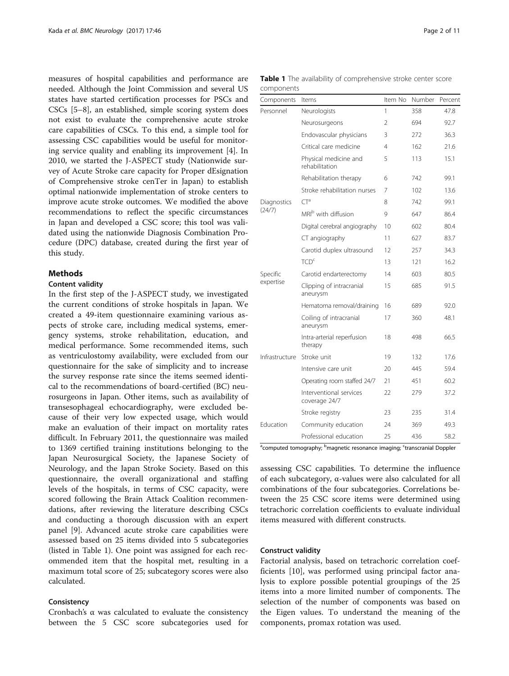<span id="page-1-0"></span>measures of hospital capabilities and performance are needed. Although the Joint Commission and several US states have started certification processes for PSCs and CSCs [\[5](#page-9-0)–[8\]](#page-9-0), an established, simple scoring system does not exist to evaluate the comprehensive acute stroke care capabilities of CSCs. To this end, a simple tool for assessing CSC capabilities would be useful for monitoring service quality and enabling its improvement [[4\]](#page-9-0). In 2010, we started the J-ASPECT study (Nationwide survey of Acute Stroke care capacity for Proper dEsignation of Comprehensive stroke cenTer in Japan) to establish optimal nationwide implementation of stroke centers to improve acute stroke outcomes. We modified the above recommendations to reflect the specific circumstances in Japan and developed a CSC score; this tool was validated using the nationwide Diagnosis Combination Procedure (DPC) database, created during the first year of this study.

# **Methods**

# Content validity

In the first step of the J-ASPECT study, we investigated the current conditions of stroke hospitals in Japan. We created a 49-item questionnaire examining various aspects of stroke care, including medical systems, emergency systems, stroke rehabilitation, education, and medical performance. Some recommended items, such as ventriculostomy availability, were excluded from our questionnaire for the sake of simplicity and to increase the survey response rate since the items seemed identical to the recommendations of board-certified (BC) neurosurgeons in Japan. Other items, such as availability of transesophageal echocardiography, were excluded because of their very low expected usage, which would make an evaluation of their impact on mortality rates difficult. In February 2011, the questionnaire was mailed to 1369 certified training institutions belonging to the Japan Neurosurgical Society, the Japanese Society of Neurology, and the Japan Stroke Society. Based on this questionnaire, the overall organizational and staffing levels of the hospitals, in terms of CSC capacity, were scored following the Brain Attack Coalition recommendations, after reviewing the literature describing CSCs and conducting a thorough discussion with an expert panel [\[9\]](#page-9-0). Advanced acute stroke care capabilities were assessed based on 25 items divided into 5 subcategories (listed in Table 1). One point was assigned for each recommended item that the hospital met, resulting in a maximum total score of 25; subcategory scores were also calculated.

# Consistency

Cronbach's α was calculated to evaluate the consistency between the 5 CSC score subcategories used for

| Page 2 of 11 |  |
|--------------|--|
|--------------|--|

| components<br>Components | Items                                    | Item No | Number | Percent |
|--------------------------|------------------------------------------|---------|--------|---------|
| Personnel                | Neurologists                             | 1       | 358    | 47.8    |
|                          | Neurosurgeons                            | 2       | 694    | 92.7    |
|                          | Endovascular physicians                  | 3       | 272    | 36.3    |
|                          | Critical care medicine                   | 4       | 162    | 21.6    |
|                          | Physical medicine and<br>rehabilitation  | 5       | 113    | 15.1    |
|                          | Rehabilitation therapy                   | 6       | 742    | 99.1    |
|                          | Stroke rehabilitation nurses             | 7       | 102    | 13.6    |
| Diagnostics              | $CT^a$                                   | 8       | 742    | 99.1    |
| (24/7)                   | MRI <sup>b</sup> with diffusion          | 9       | 647    | 86.4    |
|                          | Digital cerebral angiography             | 10      | 602    | 80.4    |
|                          | CT angiography                           | 11      | 627    | 83.7    |
|                          | Carotid duplex ultrasound                | 12      | 257    | 34.3    |
|                          | TCD <sup>c</sup>                         | 13      | 121    | 16.2    |
| Specific                 | Carotid endarterectomy                   | 14      | 603    | 80.5    |
| expertise                | Clipping of intracranial<br>aneurysm     | 15      | 685    | 91.5    |
|                          | Hematoma removal/draining                | 16      | 689    | 92.0    |
|                          | Coiling of intracranial<br>aneurysm      | 17      | 360    | 48.1    |
|                          | Intra-arterial reperfusion<br>therapy    | 18      | 498    | 66.5    |
| Infrastructure           | Stroke unit                              | 19      | 132    | 17.6    |
|                          | Intensive care unit                      | 20      | 445    | 59.4    |
|                          | Operating room staffed 24/7              | 21      | 451    | 60.2    |
|                          | Interventional services<br>coverage 24/7 | 22      | 279    | 37.2    |
|                          | Stroke registry                          | 23      | 235    | 31.4    |
| Fducation                | Community education                      | 24      | 369    | 49.3    |
|                          | Professional education                   | 25      | 436    | 58.2    |

Table 1 The availability of comprehensive stroke center score components

<sup>a</sup>computed tomography; <sup>b</sup>magnetic resonance imaging; <sup>c</sup>transcranial Doppler

assessing CSC capabilities. To determine the influence of each subcategory, α-values were also calculated for all combinations of the four subcategories. Correlations between the 25 CSC score items were determined using tetrachoric correlation coefficients to evaluate individual items measured with different constructs.

### Construct validity

Factorial analysis, based on tetrachoric correlation coefficients [\[10](#page-9-0)], was performed using principal factor analysis to explore possible potential groupings of the 25 items into a more limited number of components. The selection of the number of components was based on the Eigen values. To understand the meaning of the components, promax rotation was used.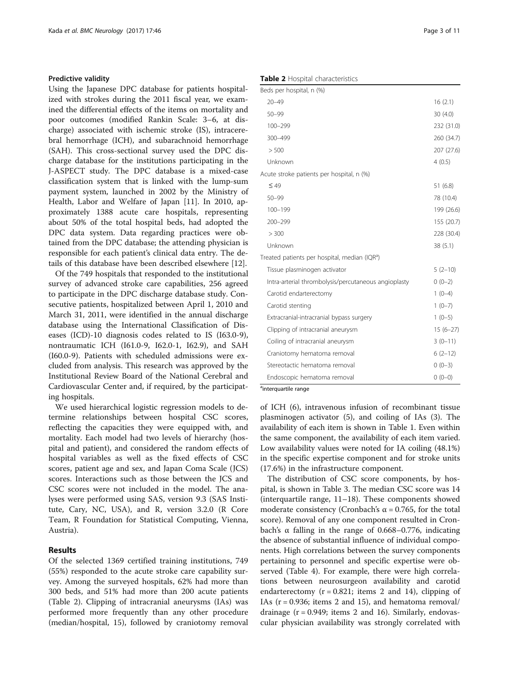# Predictive validity

Using the Japanese DPC database for patients hospitalized with strokes during the 2011 fiscal year, we examined the differential effects of the items on mortality and poor outcomes (modified Rankin Scale: 3–6, at discharge) associated with ischemic stroke (IS), intracerebral hemorrhage (ICH), and subarachnoid hemorrhage (SAH). This cross-sectional survey used the DPC discharge database for the institutions participating in the J-ASPECT study. The DPC database is a mixed-case classification system that is linked with the lump-sum payment system, launched in 2002 by the Ministry of Health, Labor and Welfare of Japan [\[11\]](#page-9-0). In 2010, approximately 1388 acute care hospitals, representing about 50% of the total hospital beds, had adopted the DPC data system. Data regarding practices were obtained from the DPC database; the attending physician is responsible for each patient's clinical data entry. The details of this database have been described elsewhere [[12\]](#page-9-0).

Of the 749 hospitals that responded to the institutional survey of advanced stroke care capabilities, 256 agreed to participate in the DPC discharge database study. Consecutive patients, hospitalized between April 1, 2010 and March 31, 2011, were identified in the annual discharge database using the International Classification of Diseases (ICD)-10 diagnosis codes related to IS (I63.0-9), nontraumatic ICH (I61.0-9, I62.0-1, I62.9), and SAH (I60.0-9). Patients with scheduled admissions were excluded from analysis. This research was approved by the Institutional Review Board of the National Cerebral and Cardiovascular Center and, if required, by the participating hospitals.

We used hierarchical logistic regression models to determine relationships between hospital CSC scores, reflecting the capacities they were equipped with, and mortality. Each model had two levels of hierarchy (hospital and patient), and considered the random effects of hospital variables as well as the fixed effects of CSC scores, patient age and sex, and Japan Coma Scale (JCS) scores. Interactions such as those between the JCS and CSC scores were not included in the model. The analyses were performed using SAS, version 9.3 (SAS Institute, Cary, NC, USA), and R, version 3.2.0 (R Core Team, R Foundation for Statistical Computing, Vienna, Austria).

# Results

Of the selected 1369 certified training institutions, 749 (55%) responded to the acute stroke care capability survey. Among the surveyed hospitals, 62% had more than 300 beds, and 51% had more than 200 acute patients (Table 2). Clipping of intracranial aneurysms (IAs) was performed more frequently than any other procedure (median/hospital, 15), followed by craniotomy removal

| Table 2 Hospital characteristics |  |
|----------------------------------|--|
|----------------------------------|--|

| Beds per hospital, n (%)                                  |            |
|-----------------------------------------------------------|------------|
| $20 - 49$                                                 | 16(2.1)    |
| $50 - 99$                                                 | 30(4.0)    |
| 100-299                                                   | 232 (31.0) |
| 300-499                                                   | 260 (34.7) |
| > 500                                                     | 207 (27.6) |
| Unknown                                                   | 4(0.5)     |
| Acute stroke patients per hospital, n (%)                 |            |
| $\leq 49$                                                 | 51(6.8)    |
| $50 - 99$                                                 | 78 (10.4)  |
| $100 - 199$                                               | 199 (26.6) |
| 200-299                                                   | 155 (20.7) |
| > 300                                                     | 228 (30.4) |
| Unknown                                                   | 38 (5.1)   |
| Treated patients per hospital, median (IQR <sup>a</sup> ) |            |
| Tissue plasminogen activator                              | $5(2-10)$  |
| Intra-arterial thrombolysis/percutaneous angioplasty      | $0(0-2)$   |
| Carotid endarterectomy                                    | $1(0-4)$   |
| Carotid stenting                                          | $1(0-7)$   |
| Extracranial-intracranial bypass surgery                  | $1(0-5)$   |
| Clipping of intracranial aneurysm                         | $15(6-27)$ |
| Coiling of intracranial aneurysm                          | $3(0-11)$  |
| Craniotomy hematoma removal                               | $6(2-12)$  |
| Stereotactic hematoma removal                             | $0(0-3)$   |
| Endoscopic hematoma removal                               | $0(0-0)$   |
| <sup>a</sup> interquartile range                          |            |

of ICH (6), intravenous infusion of recombinant tissue plasminogen activator (5), and coiling of IAs (3). The availability of each item is shown in Table [1.](#page-1-0) Even within the same component, the availability of each item varied. Low availability values were noted for IA coiling (48.1%) in the specific expertise component and for stroke units (17.6%) in the infrastructure component.

The distribution of CSC score components, by hospital, is shown in Table [3.](#page-3-0) The median CSC score was 14 (interquartile range, 11–18). These components showed moderate consistency (Cronbach's  $\alpha$  = 0.765, for the total score). Removal of any one component resulted in Cronbach's α falling in the range of 0.668–0.776, indicating the absence of substantial influence of individual components. High correlations between the survey components pertaining to personnel and specific expertise were observed (Table [4](#page-4-0)). For example, there were high correlations between neurosurgeon availability and carotid endarterectomy  $(r = 0.821;$  items 2 and 14), clipping of IAs  $(r = 0.936$ ; items 2 and 15), and hematoma removal/ drainage  $(r = 0.949;$  items 2 and 16). Similarly, endovascular physician availability was strongly correlated with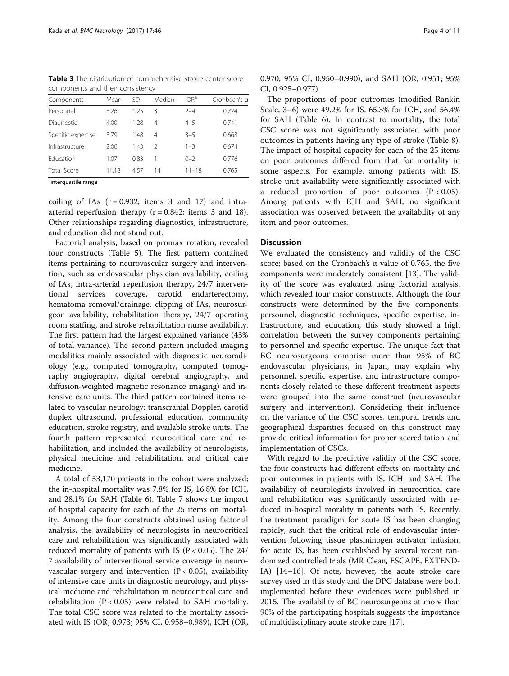<span id="page-3-0"></span>Table 3 The distribution of comprehensive stroke center score components and their consistency

| Components                         | Mean  | <b>SD</b> | Median        | IOR <sup>a</sup> | Cronbach's a |
|------------------------------------|-------|-----------|---------------|------------------|--------------|
| Personnel                          | 3.26  | 1.25      | 3             | $2 - 4$          | 0.724        |
| Diagnostic                         | 4.00  | 1.28      | 4             | $4 - 5$          | 0.741        |
| Specific expertise                 | 3.79  | 1.48      | 4             | $3 - 5$          | 0.668        |
| Infrastructure                     | 2.06  | 1.43      | $\mathcal{P}$ | $1 - 3$          | 0.674        |
| Education                          | 1.07  | 0.83      |               | $() - 2$         | 0.776        |
| <b>Total Score</b>                 | 14.18 | 457       | 14            | $11 - 18$        | 0.765        |
| $2x - 1$ and $2x - 1$ and $2x - 1$ |       |           |               |                  |              |

<sup>a</sup>interquartile range

coiling of IAs  $(r = 0.932)$ ; items 3 and 17) and intraarterial reperfusion therapy  $(r = 0.842$ ; items 3 and 18). Other relationships regarding diagnostics, infrastructure, and education did not stand out.

Factorial analysis, based on promax rotation, revealed four constructs (Table [5](#page-5-0)). The first pattern contained items pertaining to neurovascular surgery and intervention, such as endovascular physician availability, coiling of IAs, intra-arterial reperfusion therapy, 24/7 interventional services coverage, carotid endarterectomy, hematoma removal/drainage, clipping of IAs, neurosurgeon availability, rehabilitation therapy, 24/7 operating room staffing, and stroke rehabilitation nurse availability. The first pattern had the largest explained variance (43% of total variance). The second pattern included imaging modalities mainly associated with diagnostic neuroradiology (e.g., computed tomography, computed tomography angiography, digital cerebral angiography, and diffusion-weighted magnetic resonance imaging) and intensive care units. The third pattern contained items related to vascular neurology: transcranial Doppler, carotid duplex ultrasound, professional education, community education, stroke registry, and available stroke units. The fourth pattern represented neurocritical care and rehabilitation, and included the availability of neurologists, physical medicine and rehabilitation, and critical care medicine.

A total of 53,170 patients in the cohort were analyzed; the in-hospital mortality was 7.8% for IS, 16.8% for ICH, and 28.1% for SAH (Table [6\)](#page-6-0). Table [7](#page-7-0) shows the impact of hospital capacity for each of the 25 items on mortality. Among the four constructs obtained using factorial analysis, the availability of neurologists in neurocritical care and rehabilitation was significantly associated with reduced mortality of patients with IS ( $P < 0.05$ ). The 24/ 7 availability of interventional service coverage in neurovascular surgery and intervention  $(P < 0.05)$ , availability of intensive care units in diagnostic neurology, and physical medicine and rehabilitation in neurocritical care and rehabilitation ( $P < 0.05$ ) were related to SAH mortality. The total CSC score was related to the mortality associated with IS (OR, 0.973; 95% CI, 0.958–0.989), ICH (OR, 0.970; 95% CI, 0.950–0.990), and SAH (OR, 0.951; 95% CI, 0.925–0.977).

The proportions of poor outcomes (modified Rankin Scale, 3–6) were 49.2% for IS, 65.3% for ICH, and 56.4% for SAH (Table [6\)](#page-6-0). In contrast to mortality, the total CSC score was not significantly associated with poor outcomes in patients having any type of stroke (Table [8](#page-8-0)). The impact of hospital capacity for each of the 25 items on poor outcomes differed from that for mortality in some aspects. For example, among patients with IS, stroke unit availability were significantly associated with a reduced proportion of poor outcomes  $(P < 0.05)$ . Among patients with ICH and SAH, no significant association was observed between the availability of any item and poor outcomes.

# **Discussion**

We evaluated the consistency and validity of the CSC score; based on the Cronbach's  $\alpha$  value of 0.765, the five components were moderately consistent [[13\]](#page-9-0). The validity of the score was evaluated using factorial analysis, which revealed four major constructs. Although the four constructs were determined by the five components: personnel, diagnostic techniques, specific expertise, infrastructure, and education, this study showed a high correlation between the survey components pertaining to personnel and specific expertise. The unique fact that BC neurosurgeons comprise more than 95% of BC endovascular physicians, in Japan, may explain why personnel, specific expertise, and infrastructure components closely related to these different treatment aspects were grouped into the same construct (neurovascular surgery and intervention). Considering their influence on the variance of the CSC scores, temporal trends and geographical disparities focused on this construct may provide critical information for proper accreditation and implementation of CSCs.

With regard to the predictive validity of the CSC score, the four constructs had different effects on mortality and poor outcomes in patients with IS, ICH, and SAH. The availability of neurologists involved in neurocritical care and rehabilitation was significantly associated with reduced in-hospital morality in patients with IS. Recently, the treatment paradigm for acute IS has been changing rapidly, such that the critical role of endovascular intervention following tissue plasminogen activator infusion, for acute IS, has been established by several recent randomized controlled trials (MR Clean, ESCAPE, EXTEND-IA) [[14](#page-9-0)–[16\]](#page-9-0). Of note, however, the acute stroke care survey used in this study and the DPC database were both implemented before these evidences were published in 2015. The availability of BC neurosurgeons at more than 90% of the participating hospitals suggests the importance of multidisciplinary acute stroke care [\[17\]](#page-9-0).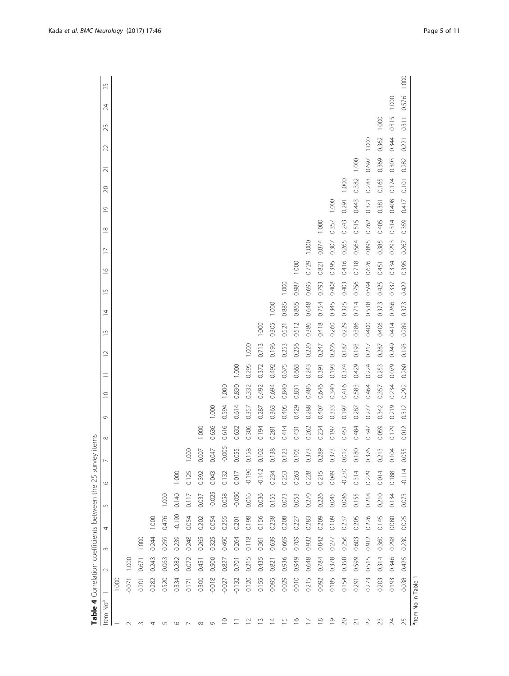<span id="page-4-0"></span>

| Table 4 Correlation coefficients between the 25 survey |          |        |        |          |                |          |                  | items    |         |             |                          |        |       |                |       |         |                |              |       |        |       |       |                 |       |       |
|--------------------------------------------------------|----------|--------|--------|----------|----------------|----------|------------------|----------|---------|-------------|--------------------------|--------|-------|----------------|-------|---------|----------------|--------------|-------|--------|-------|-------|-----------------|-------|-------|
| Item No <sup>a</sup>                                   |          | $\sim$ | $\sim$ | 4        | $\overline{5}$ | O        |                  | $\infty$ | $\circ$ | $\supseteq$ | $\overline{\phantom{0}}$ | $\sim$ | S     | $\overline{4}$ | 5     | $\circ$ | $\overline{1}$ | ⊵<br>$\cong$ | 20    | $\sim$ | 22    | 23    | $\overline{24}$ | 25    |       |
|                                                        | 1.000    |        |        |          |                |          |                  |          |         |             |                          |        |       |                |       |         |                |              |       |        |       |       |                 |       |       |
| $\sim$                                                 | $-0.071$ | 1.000  |        |          |                |          |                  |          |         |             |                          |        |       |                |       |         |                |              |       |        |       |       |                 |       |       |
| $\infty$                                               | 0.201    | 0.671  | 1.000  |          |                |          |                  |          |         |             |                          |        |       |                |       |         |                |              |       |        |       |       |                 |       |       |
|                                                        | 0.282    | 0.243  | 0.244  | 1.000    |                |          |                  |          |         |             |                          |        |       |                |       |         |                |              |       |        |       |       |                 |       |       |
| $\sqrt{ }$                                             | 0.520    | 0.063  | 0.259  | 0.476    | 1.000          |          |                  |          |         |             |                          |        |       |                |       |         |                |              |       |        |       |       |                 |       |       |
| O                                                      | 0.334    | 0.282  | 0.239  | $-0.190$ | 0.140          | 1.000    |                  |          |         |             |                          |        |       |                |       |         |                |              |       |        |       |       |                 |       |       |
|                                                        | 0.171    | 0.072  | 0.248  | 0.054    | 0.117          | 0.125    | 1.000            |          |         |             |                          |        |       |                |       |         |                |              |       |        |       |       |                 |       |       |
| $\infty$                                               | 0.300    | 0.451  | 0.265  | 0.202    | 0.037          | 0.392    | 0.007            | 1.000    |         |             |                          |        |       |                |       |         |                |              |       |        |       |       |                 |       |       |
| $\circ$                                                | $-0.018$ | 0.500  | 0.325  | 0.054    | $-0.025$       | 0.043    | 0.047            | 0.636    | 1.000   |             |                          |        |       |                |       |         |                |              |       |        |       |       |                 |       |       |
| ₽                                                      | $-0.027$ | 0.827  | 0.490  | 0.255    | 0.058          | 0.132    | $-0.005$         | 0.616    | 0.594   | 1.000       |                          |        |       |                |       |         |                |              |       |        |       |       |                 |       |       |
|                                                        | $-0.132$ | 0.701  | 0.264  | 0.201    | $-0.050$       | 0.017    | 0.055            | 0.632    | 0.614   | 0.830       | 1.000                    |        |       |                |       |         |                |              |       |        |       |       |                 |       |       |
| $\approx$                                              | 0.120    | 0.215  | 0.118  | 0.198    | 0.016          | $-0.196$ | 0.158            | 0.306    | 0.357   | 0.332       | 0.295                    | 1.000  |       |                |       |         |                |              |       |        |       |       |                 |       |       |
| $\widetilde{\phantom{a}}$                              | 0.155    | 0.435  | 0.361  | 0.156    | 0.036          | $-0.142$ | 0.102            | 0.194    | 0.287   | 0.492       | 0.372                    | 0.713  | 1.000 |                |       |         |                |              |       |        |       |       |                 |       |       |
| Ξ                                                      | 0.095    | 0.821  | 0.639  | 0.238    | 0.155          | 0.234    | 0.138            | 0.281    | 0.363   | 0.694       | 0.492                    | 0.196  | 0.305 | 1.000          |       |         |                |              |       |        |       |       |                 |       |       |
| $\Xi$                                                  | 0.029    | 0.936  | 0.669  | 0.208    | 0.073          | 0.253    | 0.123            | 0.414    | 0.405   | 0.840       | 0.675                    | 0.253  | 0.521 | 0.885          | 1.000 |         |                |              |       |        |       |       |                 |       |       |
| $\widetilde{\phantom{a}}$                              | 0.010    | 0.949  | 0.709  | 0.227    | 0.053          | 0.263    | 0.105            | 0.431    | 0.429   | 0.831       | 0.663                    | 0.256  | 0.512 | 0.865          | 0.987 | 1.000   |                |              |       |        |       |       |                 |       |       |
| Ξ                                                      | 0.215    | 0.648  | 0.932  | 0.283    | 0.270          | 0.228    | 0.37             | 0.262    | 0.288   | 0.486       | 0.243                    | 0.220  | 0.386 | 0.648          | 0.695 | 0.729   | 1.000          |              |       |        |       |       |                 |       |       |
| $\frac{8}{10}$                                         | 0.092    | 0.784  | 0.842  | 0.209    | 0.226          | 0.215    | 0.289            | 0.234    | 0.407   | 0.646       | 0.391                    | 0.247  | 0.418 | 0.754          | 0.793 | 0.821   | 0.874          | 1.000        |       |        |       |       |                 |       |       |
| $\overline{0}$                                         | 0.185    | 0.378  | 0.277  | 0.109    | 0.045          | 0.049    | 0.37             | 0.197    | 0.333   | 0.340       | 0.193                    | 0.206  | 0.260 | 0.345          | 0.408 | 0.395   | 0.307          | 0.357        | 1.000 |        |       |       |                 |       |       |
| 20                                                     | 0.154    | 0.358  | 0.256  | 0.237    | 0.086          | $-0.230$ | 0.01             | 0.451    | 0.197   | 0.416       | 0.374                    | 0.187  | 0.229 | 0.325          | 0.403 | 0.416   | 0.265          | 0.243        | 0.291 | 1.000  |       |       |                 |       |       |
| $\bar{\sim}$                                           | 0.291    | 0.599  | 0.603  | 0.205    | 0.155          | 0.314    | 0.180            | 0.484    | 0.287   | 0.583       | 0.429                    | 0.193  | 0.386 | 0.714          | 0.756 | 0.718   | 0.564          | 0.515        | 0.443 | 0.382  | 1.000 |       |                 |       |       |
| $\mathcal{Z}$                                          | 0.273    | 0.515  | 0.912  | 0.226    | 0.218          | 0.229    | $\infty$<br>0.37 | 0.347    | 0.277   | 0.464       | 0.224                    | 0.217  | 0.400 | 0.538          | 0.594 | 0.626   | 0.895          | 0.762        | 0.321 | 0.283  | 0.697 | 1.000 |                 |       |       |
| 23                                                     | 0.203    | 0.314  | 0.360  | 0.145    | 0.210          | 0.014    | 0.21             | 0.059    | 0.342   | 0.357       | 0.253                    | 0.287  | 0.406 | 0.373          | 0.425 | 0.451   | 0.385          | 0.405        | 0.381 | 0.165  | 0.369 | 0.362 | 1.000           |       |       |
| $\overline{24}$                                        | 0.193    | 0.346  | 0.298  | 0.080    | 0.134          | 0.188    | 0.104            | 0.179    | 0.219   | 0.234       | 0.079                    | 0.249  | 0.414 | 0.266          | 0.337 | 0.334   | 0.293          | 0.314        | 0.408 | 0.174  | 0.303 | 0.344 | 0.315           | 1.000 |       |
| 25                                                     | 0.038    | 0.425  | 0.230  | 0.025    | 0.073          | $-0.114$ | 0.055            | 0.012    | 0.312   | 0.292       | 0.260                    | 0.193  | 0.289 | 0.373          | 0.422 | 0.395   | 0.267          | 0.359        | 0.417 | 0.101  | 0.282 | 0.221 | 0.311           | 0.576 | 1.000 |
| <sup>a</sup> ltem No in Table 1                        |          |        |        |          |                |          |                  |          |         |             |                          |        |       |                |       |         |                |              |       |        |       |       |                 |       |       |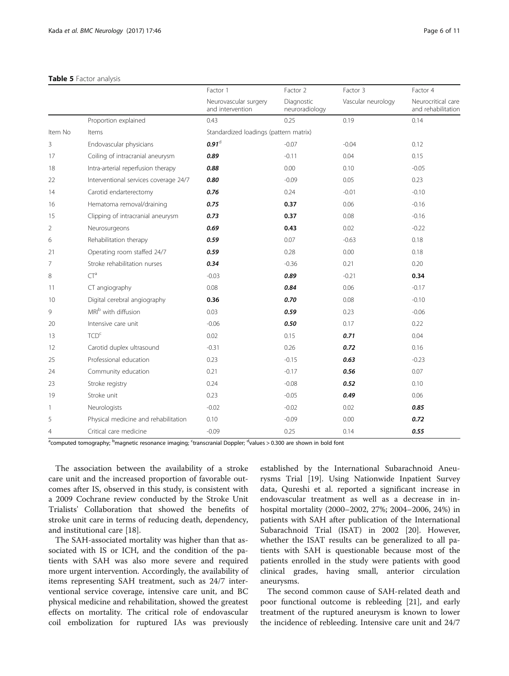# <span id="page-5-0"></span>Table 5 Factor analysis

|                |                                       | Factor 1                                  | Factor 2                     | Factor 3           | Factor 4                                 |
|----------------|---------------------------------------|-------------------------------------------|------------------------------|--------------------|------------------------------------------|
|                |                                       | Neurovascular surgery<br>and intervention | Diagnostic<br>neuroradiology | Vascular neurology | Neurocritical care<br>and rehabilitation |
|                | Proportion explained                  | 0.43                                      | 0.25                         | 0.19               | 0.14                                     |
| Item No        | Items                                 | Standardized loadings (pattern matrix)    |                              |                    |                                          |
| 3              | Endovascular physicians               | $0.91$ <sup>d</sup>                       | $-0.07$                      | $-0.04$            | 0.12                                     |
| 17             | Coiling of intracranial aneurysm      | 0.89                                      | $-0.11$                      | 0.04               | 0.15                                     |
| 18             | Intra-arterial reperfusion therapy    | 0.88                                      | 0.00                         | 0.10               | $-0.05$                                  |
| 22             | Interventional services coverage 24/7 | 0.80                                      | $-0.09$                      | 0.05               | 0.23                                     |
| 14             | Carotid endarterectomy                | 0.76                                      | 0.24                         | $-0.01$            | $-0.10$                                  |
| 16             | Hematoma removal/draining             | 0.75                                      | 0.37                         | 0.06               | $-0.16$                                  |
| 15             | Clipping of intracranial aneurysm     | 0.73                                      | 0.37                         | 0.08               | $-0.16$                                  |
| $\overline{2}$ | Neurosurgeons                         | 0.69                                      | 0.43                         | 0.02               | $-0.22$                                  |
| 6              | Rehabilitation therapy                | 0.59                                      | 0.07                         | $-0.63$            | 0.18                                     |
| 21             | Operating room staffed 24/7           | 0.59                                      | 0.28                         | 0.00               | 0.18                                     |
| 7              | Stroke rehabilitation nurses          | 0.34                                      | $-0.36$                      | 0.21               | 0.20                                     |
| 8              | $CT^a$                                | $-0.03$                                   | 0.89                         | $-0.21$            | 0.34                                     |
| 11             | CT angiography                        | 0.08                                      | 0.84                         | 0.06               | $-0.17$                                  |
| 10             | Digital cerebral angiography          | 0.36                                      | 0.70                         | 0.08               | $-0.10$                                  |
| 9              | MRI <sup>b</sup> with diffusion       | 0.03                                      | 0.59                         | 0.23               | $-0.06$                                  |
| 20             | Intensive care unit                   | $-0.06$                                   | 0.50                         | 0.17               | 0.22                                     |
| 13             | TCD <sup>c</sup>                      | 0.02                                      | 0.15                         | 0.71               | 0.04                                     |
| 12             | Carotid duplex ultrasound             | $-0.31$                                   | 0.26                         | 0.72               | 0.16                                     |
| 25             | Professional education                | 0.23                                      | $-0.15$                      | 0.63               | $-0.23$                                  |
| 24             | Community education                   | 0.21                                      | $-0.17$                      | 0.56               | 0.07                                     |
| 23             | Stroke registry                       | 0.24                                      | $-0.08$                      | 0.52               | 0.10                                     |
| 19             | Stroke unit                           | 0.23                                      | $-0.05$                      | 0.49               | 0.06                                     |
| 1              | Neurologists                          | $-0.02$                                   | $-0.02$                      | 0.02               | 0.85                                     |
| 5              | Physical medicine and rehabilitation  | 0.10                                      | $-0.09$                      | 0.00               | 0.72                                     |
| 4              | Critical care medicine                | $-0.09$                                   | 0.25                         | 0.14               | 0.55                                     |

<sup>a</sup>computed tomography; <sup>b</sup>magnetic resonance imaging; <sup>c</sup>transcranial Doppler; <sup>d</sup>values > 0.300 are shown in bold font

The association between the availability of a stroke care unit and the increased proportion of favorable outcomes after IS, observed in this study, is consistent with a 2009 Cochrane review conducted by the Stroke Unit Trialists' Collaboration that showed the benefits of stroke unit care in terms of reducing death, dependency, and institutional care [[18\]](#page-9-0).

The SAH-associated mortality was higher than that associated with IS or ICH, and the condition of the patients with SAH was also more severe and required more urgent intervention. Accordingly, the availability of items representing SAH treatment, such as 24/7 interventional service coverage, intensive care unit, and BC physical medicine and rehabilitation, showed the greatest effects on mortality. The critical role of endovascular coil embolization for ruptured IAs was previously

established by the International Subarachnoid Aneurysms Trial [\[19](#page-9-0)]. Using Nationwide Inpatient Survey data, Qureshi et al. reported a significant increase in endovascular treatment as well as a decrease in inhospital mortality (2000–2002, 27%; 2004–2006, 24%) in patients with SAH after publication of the International Subarachnoid Trial (ISAT) in 2002 [[20](#page-9-0)]. However, whether the ISAT results can be generalized to all patients with SAH is questionable because most of the patients enrolled in the study were patients with good clinical grades, having small, anterior circulation aneurysms.

The second common cause of SAH-related death and poor functional outcome is rebleeding [[21](#page-10-0)], and early treatment of the ruptured aneurysm is known to lower the incidence of rebleeding. Intensive care unit and 24/7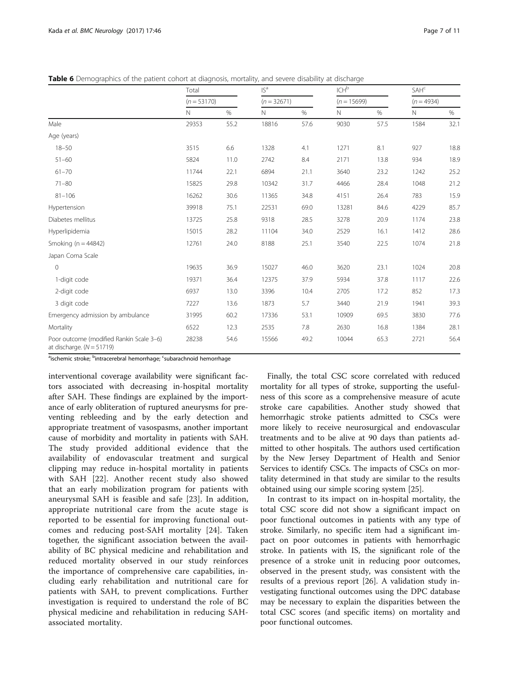<span id="page-6-0"></span>

| Table 6 Demographics of the patient cohort at diagnosis, mortality, and severe disability at discharge |  |  |  |  |  |
|--------------------------------------------------------------------------------------------------------|--|--|--|--|--|
|                                                                                                        |  |  |  |  |  |

|                                                                         | Total         |      | IS <sup>a</sup> |      | $\text{ICH}^{\text{b}}$ |      | SAH <sup>c</sup> |      |
|-------------------------------------------------------------------------|---------------|------|-----------------|------|-------------------------|------|------------------|------|
|                                                                         | $(n = 53170)$ |      | $(n = 32671)$   |      | $(n = 15699)$           |      | $(n = 4934)$     |      |
|                                                                         | N             | %    | $\mathbb N$     | %    | N                       | %    | N                | %    |
| Male                                                                    | 29353         | 55.2 | 18816           | 57.6 | 9030                    | 57.5 | 1584             | 32.1 |
| Age (years)                                                             |               |      |                 |      |                         |      |                  |      |
| $18 - 50$                                                               | 3515          | 6.6  | 1328            | 4.1  | 1271                    | 8.1  | 927              | 18.8 |
| $51 - 60$                                                               | 5824          | 11.0 | 2742            | 8.4  | 2171                    | 13.8 | 934              | 18.9 |
| $61 - 70$                                                               | 11744         | 22.1 | 6894            | 21.1 | 3640                    | 23.2 | 1242             | 25.2 |
| $71 - 80$                                                               | 15825         | 29.8 | 10342           | 31.7 | 4466                    | 28.4 | 1048             | 21.2 |
| $81 - 106$                                                              | 16262         | 30.6 | 11365           | 34.8 | 4151                    | 26.4 | 783              | 15.9 |
| Hypertension                                                            | 39918         | 75.1 | 22531           | 69.0 | 13281                   | 84.6 | 4229             | 85.7 |
| Diabetes mellitus                                                       | 13725         | 25.8 | 9318            | 28.5 | 3278                    | 20.9 | 1174             | 23.8 |
| Hyperlipidemia                                                          | 15015         | 28.2 | 11104           | 34.0 | 2529                    | 16.1 | 1412             | 28.6 |
| Smoking ( $n = 44842$ )                                                 | 12761         | 24.0 | 8188            | 25.1 | 3540                    | 22.5 | 1074             | 21.8 |
| Japan Coma Scale                                                        |               |      |                 |      |                         |      |                  |      |
| $\Omega$                                                                | 19635         | 36.9 | 15027           | 46.0 | 3620                    | 23.1 | 1024             | 20.8 |
| 1-digit code                                                            | 19371         | 36.4 | 12375           | 37.9 | 5934                    | 37.8 | 1117             | 22.6 |
| 2-digit code                                                            | 6937          | 13.0 | 3396            | 10.4 | 2705                    | 17.2 | 852              | 17.3 |
| 3 digit code                                                            | 7227          | 13.6 | 1873            | 5.7  | 3440                    | 21.9 | 1941             | 39.3 |
| Emergency admission by ambulance                                        | 31995         | 60.2 | 17336           | 53.1 | 10909                   | 69.5 | 3830             | 77.6 |
| Mortality                                                               | 6522          | 12.3 | 2535            | 7.8  | 2630                    | 16.8 | 1384             | 28.1 |
| Poor outcome (modified Rankin Scale 3-6)<br>at discharge. $(N = 51719)$ | 28238         | 54.6 | 15566           | 49.2 | 10044                   | 65.3 | 2721             | 56.4 |

<sup>a</sup>ischemic stroke; <sup>b</sup>intracerebral hemorrhage; <sup>c</sup>subarachnoid hemorrhage

interventional coverage availability were significant factors associated with decreasing in-hospital mortality after SAH. These findings are explained by the importance of early obliteration of ruptured aneurysms for preventing rebleeding and by the early detection and appropriate treatment of vasospasms, another important cause of morbidity and mortality in patients with SAH. The study provided additional evidence that the availability of endovascular treatment and surgical clipping may reduce in-hospital mortality in patients with SAH [\[22](#page-10-0)]. Another recent study also showed that an early mobilization program for patients with aneurysmal SAH is feasible and safe [\[23](#page-10-0)]. In addition, appropriate nutritional care from the acute stage is reported to be essential for improving functional outcomes and reducing post-SAH mortality [\[24](#page-10-0)]. Taken together, the significant association between the availability of BC physical medicine and rehabilitation and reduced mortality observed in our study reinforces the importance of comprehensive care capabilities, including early rehabilitation and nutritional care for patients with SAH, to prevent complications. Further investigation is required to understand the role of BC physical medicine and rehabilitation in reducing SAHassociated mortality.

Finally, the total CSC score correlated with reduced mortality for all types of stroke, supporting the usefulness of this score as a comprehensive measure of acute stroke care capabilities. Another study showed that hemorrhagic stroke patients admitted to CSCs were more likely to receive neurosurgical and endovascular treatments and to be alive at 90 days than patients admitted to other hospitals. The authors used certification by the New Jersey Department of Health and Senior Services to identify CSCs. The impacts of CSCs on mortality determined in that study are similar to the results obtained using our simple scoring system [[25\]](#page-10-0).

In contrast to its impact on in-hospital mortality, the total CSC score did not show a significant impact on poor functional outcomes in patients with any type of stroke. Similarly, no specific item had a significant impact on poor outcomes in patients with hemorrhagic stroke. In patients with IS, the significant role of the presence of a stroke unit in reducing poor outcomes, observed in the present study, was consistent with the results of a previous report [\[26](#page-10-0)]. A validation study investigating functional outcomes using the DPC database may be necessary to explain the disparities between the total CSC scores (and specific items) on mortality and poor functional outcomes.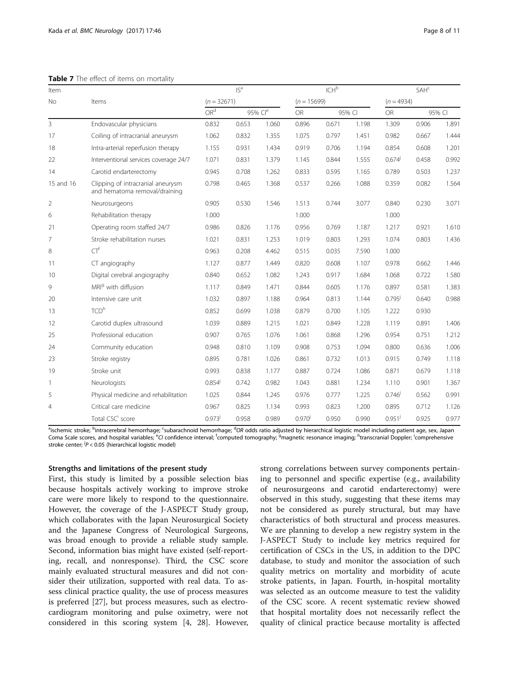<span id="page-7-0"></span>

| Table 7 The effect of items on mortality |  |  |  |  |  |  |  |
|------------------------------------------|--|--|--|--|--|--|--|
|------------------------------------------|--|--|--|--|--|--|--|

| Item           |                                                                    |                 | IS <sup>a</sup> |                     |               | ICH <sup>b</sup> |        |                      | <b>SAH<sup>c</sup></b> |        |
|----------------|--------------------------------------------------------------------|-----------------|-----------------|---------------------|---------------|------------------|--------|----------------------|------------------------|--------|
| No             | Items                                                              | $(n = 32671)$   |                 |                     | $(n = 15699)$ |                  |        | $(n = 4934)$         |                        |        |
|                |                                                                    | OR <sup>d</sup> |                 | 95% Cl <sup>e</sup> | <b>OR</b>     |                  | 95% CI | <b>OR</b>            |                        | 95% CI |
| $\overline{3}$ | Endovascular physicians                                            | 0.832           | 0.653           | 1.060               | 0.896         | 0.671            | 1.198  | 1.309                | 0.906                  | 1.891  |
| 17             | Coiling of intracranial aneurysm                                   | 1.062           | 0.832           | 1.355               | 1.075         | 0.797            | 1.451  | 0.982                | 0.667                  | 1.444  |
| 18             | Intra-arterial reperfusion therapy                                 | 1.155           | 0.931           | 1.434               | 0.919         | 0.706            | 1.194  | 0.854                | 0.608                  | 1.201  |
| 22             | Interventional services coverage 24/7                              | 1.071           | 0.831           | 1.379               | 1.145         | 0.844            | 1.555  | $0.674^{j}$          | 0.458                  | 0.992  |
| 14             | Carotid endarterectomy                                             | 0.945           | 0.708           | 1.262               | 0.833         | 0.595            | 1.165  | 0.789                | 0.503                  | 1.237  |
| 15 and 16      | Clipping of intracranial aneurysm<br>and hematoma removal/draining | 0.798           | 0.465           | 1.368               | 0.537         | 0.266            | 1.088  | 0.359                | 0.082                  | 1.564  |
| 2              | Neurosurgeons                                                      | 0.905           | 0.530           | 1.546               | 1.513         | 0.744            | 3.077  | 0.840                | 0.230                  | 3.071  |
| 6              | Rehabilitation therapy                                             | 1.000           |                 |                     | 1.000         |                  |        | 1.000                |                        |        |
| 21             | Operating room staffed 24/7                                        | 0.986           | 0.826           | 1.176               | 0.956         | 0.769            | 1.187  | 1.217                | 0.921                  | 1.610  |
| $\overline{7}$ | Stroke rehabilitation nurses                                       | 1.021           | 0.831           | 1.253               | 1.019         | 0.803            | 1.293  | 1.074                | 0.803                  | 1.436  |
| 8              | $CT^{f}$                                                           | 0.963           | 0.208           | 4.462               | 0.515         | 0.035            | 7.590  | 1.000                |                        |        |
| 11             | CT angiography                                                     | 1.127           | 0.877           | 1.449               | 0.820         | 0.608            | 1.107  | 0.978                | 0.662                  | 1.446  |
| 10             | Digital cerebral angiography                                       | 0.840           | 0.652           | 1.082               | 1.243         | 0.917            | 1.684  | 1.068                | 0.722                  | 1.580  |
| 9              | MRI <sup>g</sup> with diffusion                                    | 1.117           | 0.849           | 1.471               | 0.844         | 0.605            | 1.176  | 0.897                | 0.581                  | 1.383  |
| 20             | Intensive care unit                                                | 1.032           | 0.897           | 1.188               | 0.964         | 0.813            | 1.144  | $0.795^{j}$          | 0.640                  | 0.988  |
| 13             | TCD <sup>h</sup>                                                   | 0.852           | 0.699           | 1.038               | 0.879         | 0.700            | 1.105  | 1.222                | 0.930                  |        |
| 12             | Carotid duplex ultrasound                                          | 1.039           | 0.889           | 1.215               | 1.021         | 0.849            | 1.228  | 1.119                | 0.891                  | 1.406  |
| 25             | Professional education                                             | 0.907           | 0.765           | 1.076               | 1.061         | 0.868            | 1.296  | 0.954                | 0.751                  | 1.212  |
| 24             | Community education                                                | 0.948           | 0.810           | 1.109               | 0.908         | 0.753            | 1.094  | 0.800                | 0.636                  | 1.006  |
| 23             | Stroke registry                                                    | 0.895           | 0.781           | 1.026               | 0.861         | 0.732            | 1.013  | 0.915                | 0.749                  | 1.118  |
| 19             | Stroke unit                                                        | 0.993           | 0.838           | 1.177               | 0.887         | 0.724            | 1.086  | 0.871                | 0.679                  | 1.118  |
| $\mathbf{1}$   | Neurologists                                                       | $0.854^{j}$     | 0.742           | 0.982               | 1.043         | 0.881            | 1.234  | 1.110                | 0.901                  | 1.367  |
| 5              | Physical medicine and rehabilitation                               | 1.025           | 0.844           | 1.245               | 0.976         | 0.777            | 1.225  | $0.746^{j}$          | 0.562                  | 0.991  |
| $\overline{4}$ | Critical care medicine                                             | 0.967           | 0.825           | 1.134               | 0.993         | 0.823            | 1.200  | 0.895                | 0.712                  | 1.126  |
|                | Total CSC <sup>i</sup> score                                       | $0.973^{j}$     | 0.958           | 0.989               | $0.970^{j}$   | 0.950            | 0.990  | $0.951$ <sup>j</sup> | 0.925                  | 0.977  |

<sup>a</sup>ischemic stroke; <sup>b</sup>intracerebral hemorrhage; <sup>c</sup>subarachnoid hemorrhage; <sup>d</sup>OR odds ratio adjusted by hierarchical logistic model including patient age, sex, Japan<br>Come Scale scores, and bospital variables: <sup>e</sup>CL confi Coma Scale scores, and hospital variables; <sup>e</sup>CI confidence interval; <sup>f</sup>computed tomography; <sup>g</sup>magnetic resonance imaging; <sup>h</sup>transcranial Doppler; <sup>i</sup>comprehensive<br>stroke center: <sup>j</sup>P < 0.05 (hierarchical logistic model stroke center; <sup>j</sup> $P < 0.05$  (hierarchical logistic model)

#### Strengths and limitations of the present study

First, this study is limited by a possible selection bias because hospitals actively working to improve stroke care were more likely to respond to the questionnaire. However, the coverage of the J-ASPECT Study group, which collaborates with the Japan Neurosurgical Society and the Japanese Congress of Neurological Surgeons, was broad enough to provide a reliable study sample. Second, information bias might have existed (self-reporting, recall, and nonresponse). Third, the CSC score mainly evaluated structural measures and did not consider their utilization, supported with real data. To assess clinical practice quality, the use of process measures is preferred [[27\]](#page-10-0), but process measures, such as electrocardiogram monitoring and pulse oximetry, were not considered in this scoring system [\[4](#page-9-0), [28\]](#page-10-0). However,

strong correlations between survey components pertaining to personnel and specific expertise (e.g., availability of neurosurgeons and carotid endarterectomy) were observed in this study, suggesting that these items may not be considered as purely structural, but may have characteristics of both structural and process measures. We are planning to develop a new registry system in the J-ASPECT Study to include key metrics required for certification of CSCs in the US, in addition to the DPC database, to study and monitor the association of such quality metrics on mortality and morbidity of acute stroke patients, in Japan. Fourth, in-hospital mortality was selected as an outcome measure to test the validity of the CSC score. A recent systematic review showed that hospital mortality does not necessarily reflect the quality of clinical practice because mortality is affected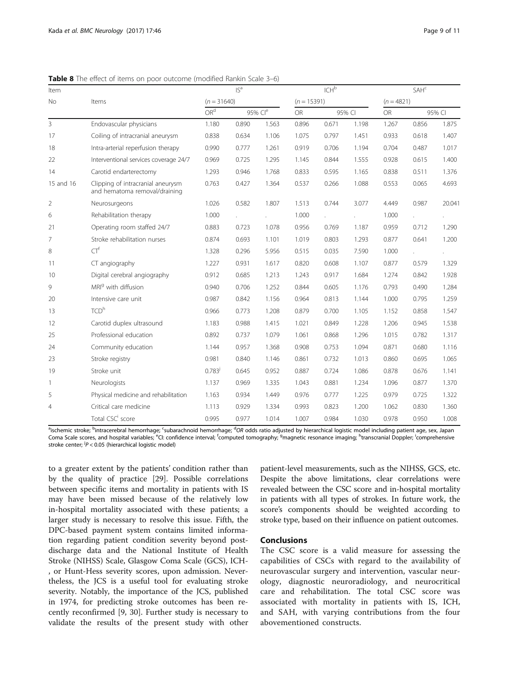| Item         |                                                                    |                 | $ S^a$ |                     |               | ICH <sup>b</sup> |        |              | SAH <sup>c</sup> |        |
|--------------|--------------------------------------------------------------------|-----------------|--------|---------------------|---------------|------------------|--------|--------------|------------------|--------|
| <b>No</b>    | Items                                                              | $(n = 31640)$   |        |                     | $(n = 15391)$ |                  |        | $(n = 4821)$ |                  |        |
|              |                                                                    | OR <sup>d</sup> |        | 95% Cl <sup>e</sup> | <b>OR</b>     |                  | 95% CI | <b>OR</b>    |                  | 95% CI |
| 3            | Endovascular physicians                                            | 1.180           | 0.890  | 1.563               | 0.896         | 0.671            | 1.198  | 1.267        | 0.856            | 1.875  |
| 17           | Coiling of intracranial aneurysm                                   | 0.838           | 0.634  | 1.106               | 1.075         | 0.797            | 1.451  | 0.933        | 0.618            | 1.407  |
| 18           | Intra-arterial reperfusion therapy                                 | 0.990           | 0.777  | 1.261               | 0.919         | 0.706            | 1.194  | 0.704        | 0.487            | 1.017  |
| 22           | Interventional services coverage 24/7                              | 0.969           | 0.725  | 1.295               | 1.145         | 0.844            | 1.555  | 0.928        | 0.615            | 1.400  |
| 14           | Carotid endarterectomy                                             | 1.293           | 0.946  | 1.768               | 0.833         | 0.595            | 1.165  | 0.838        | 0.511            | 1.376  |
| 15 and 16    | Clipping of intracranial aneurysm<br>and hematoma removal/draining | 0.763           | 0.427  | 1.364               | 0.537         | 0.266            | 1.088  | 0.553        | 0.065            | 4.693  |
| 2            | Neurosurgeons                                                      | 1.026           | 0.582  | 1.807               | 1.513         | 0.744            | 3.077  | 4.449        | 0.987            | 20.041 |
| 6            | Rehabilitation therapy                                             | 1.000           |        |                     | 1.000         |                  |        | 1.000        |                  |        |
| 21           | Operating room staffed 24/7                                        | 0.883           | 0.723  | 1.078               | 0.956         | 0.769            | 1.187  | 0.959        | 0.712            | 1.290  |
| 7            | Stroke rehabilitation nurses                                       | 0.874           | 0.693  | 1.101               | 1.019         | 0.803            | 1.293  | 0.877        | 0.641            | 1.200  |
| 8            | $CT^{f}$                                                           | 1.328           | 0.296  | 5.956               | 0.515         | 0.035            | 7.590  | 1.000        |                  |        |
| 11           | CT angiography                                                     | 1.227           | 0.931  | 1.617               | 0.820         | 0.608            | 1.107  | 0.877        | 0.579            | 1.329  |
| 10           | Digital cerebral angiography                                       | 0.912           | 0.685  | 1.213               | 1.243         | 0.917            | 1.684  | 1.274        | 0.842            | 1.928  |
| 9            | MRI <sup>9</sup> with diffusion                                    | 0.940           | 0.706  | 1.252               | 0.844         | 0.605            | 1.176  | 0.793        | 0.490            | 1.284  |
| 20           | Intensive care unit                                                | 0.987           | 0.842  | 1.156               | 0.964         | 0.813            | 1.144  | 1.000        | 0.795            | 1.259  |
| 13           | TCD <sup>h</sup>                                                   | 0.966           | 0.773  | 1.208               | 0.879         | 0.700            | 1.105  | 1.152        | 0.858            | 1.547  |
| 12           | Carotid duplex ultrasound                                          | 1.183           | 0.988  | 1.415               | 1.021         | 0.849            | 1.228  | 1.206        | 0.945            | 1.538  |
| 25           | Professional education                                             | 0.892           | 0.737  | 1.079               | 1.061         | 0.868            | 1.296  | 1.015        | 0.782            | 1.317  |
| 24           | Community education                                                | 1.144           | 0.957  | 1.368               | 0.908         | 0.753            | 1.094  | 0.871        | 0.680            | 1.116  |
| 23           | Stroke registry                                                    | 0.981           | 0.840  | 1.146               | 0.861         | 0.732            | 1.013  | 0.860        | 0.695            | 1.065  |
| 19           | Stroke unit                                                        | 0.783           | 0.645  | 0.952               | 0.887         | 0.724            | 1.086  | 0.878        | 0.676            | 1.141  |
| $\mathbf{1}$ | Neurologists                                                       | 1.137           | 0.969  | 1.335               | 1.043         | 0.881            | 1.234  | 1.096        | 0.877            | 1.370  |
| 5            | Physical medicine and rehabilitation                               | 1.163           | 0.934  | 1.449               | 0.976         | 0.777            | 1.225  | 0.979        | 0.725            | 1.322  |
| 4            | Critical care medicine                                             | 1.113           | 0.929  | 1.334               | 0.993         | 0.823            | 1.200  | 1.062        | 0.830            | 1.360  |
|              | Total CSC <sup>i</sup> score                                       | 0.995           | 0.977  | 1.014               | 1.007         | 0.984            | 1.030  | 0.978        | 0.950            | 1.008  |

<span id="page-8-0"></span>Table 8 The effect of items on poor outcome (modified Rankin Scale 3-6)

<sup>a</sup>ischemic stroke; <sup>b</sup>intracerebral hemorrhage; <sup>c</sup>subarachnoid hemorrhage; <sup>d</sup>OR odds ratio adjusted by hierarchical logistic model including patient age, sex, Japan<br>Come Scale scores, and bospital variables: <sup>e</sup>Cl: conf Coma Scale scores, and hospital variables; <sup>e</sup>CI: confidence interval; <sup>f</sup>computed tomography; <sup>g</sup>magnetic resonance imaging; <sup>h</sup>transcranial Doppler; <sup>i</sup>comprehensive stroke center; <sup>j</sup> $P < 0.05$  (hierarchical logistic model)

to a greater extent by the patients' condition rather than by the quality of practice [[29](#page-10-0)]. Possible correlations between specific items and mortality in patients with IS may have been missed because of the relatively low in-hospital mortality associated with these patients; a larger study is necessary to resolve this issue. Fifth, the DPC-based payment system contains limited information regarding patient condition severity beyond postdischarge data and the National Institute of Health Stroke (NIHSS) Scale, Glasgow Coma Scale (GCS), ICH- , or Hunt-Hess severity scores, upon admission. Nevertheless, the JCS is a useful tool for evaluating stroke severity. Notably, the importance of the JCS, published in 1974, for predicting stroke outcomes has been recently reconfirmed [\[9](#page-9-0), [30\]](#page-10-0). Further study is necessary to validate the results of the present study with other patient-level measurements, such as the NIHSS, GCS, etc. Despite the above limitations, clear correlations were revealed between the CSC score and in-hospital mortality in patients with all types of strokes. In future work, the score's components should be weighted according to stroke type, based on their influence on patient outcomes.

# Conclusions

The CSC score is a valid measure for assessing the capabilities of CSCs with regard to the availability of neurovascular surgery and intervention, vascular neurology, diagnostic neuroradiology, and neurocritical care and rehabilitation. The total CSC score was associated with mortality in patients with IS, ICH, and SAH, with varying contributions from the four abovementioned constructs.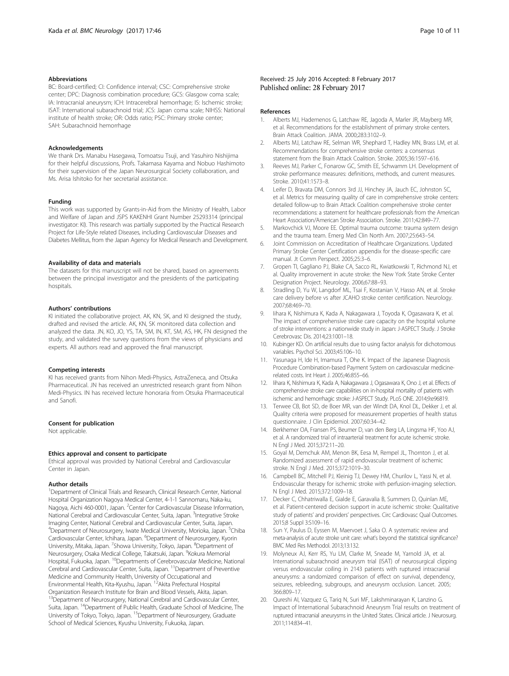#### <span id="page-9-0"></span>Abbreviations

BC: Board-certified; CI: Confidence interval; CSC: Comprehensive stroke center; DPC: Diagnosis combination procedure; GCS: Glasgow coma scale; IA: Intracranial aneurysm; ICH: Intracerebral hemorrhage; IS: Ischemic stroke; ISAT: International subarachnoid trial; JCS: Japan coma scale; NIHSS: National institute of health stroke; OR: Odds ratio; PSC: Primary stroke center; SAH: Subarachnoid hemorrhage

#### Acknowledgements

We thank Drs. Manabu Hasegawa, Tomoatsu Tsuji, and Yasuhiro Nishijima for their helpful discussions, Profs. Takamasa Kayama and Nobuo Hashimoto for their supervision of the Japan Neurosurgical Society collaboration, and Ms. Arisa Ishitoko for her secretarial assistance.

#### Funding

This work was supported by Grants-in-Aid from the Ministry of Health, Labor and Welfare of Japan and JSPS KAKENHI Grant Number 25293314 (principal investigator: KI). This research was partially supported by the Practical Research Project for Life-Style related Diseases, including Cardiovascular Diseases and Diabetes Mellitus, from the Japan Agency for Medical Research and Development.

#### Availability of data and materials

The datasets for this manuscript will not be shared, based on agreements between the principal investigator and the presidents of the participating hospitals.

#### Authors' contributions

KI initiated the collaborative project. AK, KN, SK, and KI designed the study, drafted and revised the article. AK, KN, SK monitored data collection and analyzed the data. JN, KO, JO, YS, TA, SM, IN, KT, SM, AS, HK, FN designed the study, and validated the survey questions from the views of physicians and experts. All authors read and approved the final manuscript.

#### Competing interests

KI has received grants from Nihon Medi-Physics, AstraZeneca, and Otsuka Pharmaceutical. JN has received an unrestricted research grant from Nihon Medi-Physics. IN has received lecture honoraria from Otsuka Pharmaceutical and Sanofi.

#### Consent for publication

Not applicable.

#### Ethics approval and consent to participate

Ethical approval was provided by National Cerebral and Cardiovascular Center in Japan.

#### Author details

<sup>1</sup> Department of Clinical Trials and Research, Clinical Research Center, National Hospital Organization Nagoya Medical Center, 4-1-1 Sannomaru, Naka-ku, Nagoya, Aichi 460-0001, Japan. <sup>2</sup>Center for Cardiovascular Disease Information, National Cerebral and Cardiovascular Center, Suita, Japan. <sup>3</sup>Integrative Stroke Imaging Center, National Cerebral and Cardiovascular Center, Suita, Japan. <sup>4</sup>Department of Neurosurgery, Iwate Medical University, Morioka, Japan. <sup>5</sup>Chiba Cardiovascular Center, Ichihara, Japan. <sup>6</sup>Department of Neurosurgery, Kyorin University, Mitaka, Japan. <sup>7</sup>Showa University, Tokyo, Japan. <sup>8</sup>Department of Neurosurgery, Osaka Medical College, Takatsuki, Japan. <sup>9</sup>Kokura Memorial Hospital, Fukuoka, Japan. <sup>10</sup>Departments of Cerebrovascular Medicine, National Cerebral and Cardiovascular Center, Suita, Japan. 11Department of Preventive Medicine and Community Health, University of Occupational and<br>Environmental Health, Kita-Kyushu, Japan. <sup>12</sup>Akita Prefectural Hospital Organization Research Institute for Brain and Blood Vessels, Akita, Japan. <sup>13</sup>Department of Neurosurgery, National Cerebral and Cardiovascular Center, Suita, Japan. 14Department of Public Health, Graduate School of Medicine, The University of Tokyo, Tokyo, Japan. 15Department of Neurosurgery, Graduate School of Medical Sciences, Kyushu University, Fukuoka, Japan.

#### Received: 25 July 2016 Accepted: 8 February 2017 Published online: 28 February 2017

#### References

- 1. Alberts MJ, Hademenos G, Latchaw RE, Jagoda A, Marler JR, Mayberg MR, et al. Recommendations for the establishment of primary stroke centers. Brain Attack Coalition. JAMA. 2000;283:3102–9.
- 2. Alberts MJ, Latchaw RE, Selman WR, Shephard T, Hadley MN, Brass LM, et al. Recommendations for comprehensive stroke centers: a consensus statement from the Brain Attack Coalition. Stroke. 2005;36:1597–616.
- Reeves MJ, Parker C, Fonarow GC, Smith EE, Schwamm LH. Development of stroke performance measures: definitions, methods, and current measures. Stroke. 2010;41:1573–8.
- 4. Leifer D, Bravata DM, Connors 3rd JJ, Hinchey JA, Jauch EC, Johnston SC, et al. Metrics for measuring quality of care in comprehensive stroke centers: detailed follow-up to Brain Attack Coalition comprehensive stroke center recommendations: a statement for healthcare professionals from the American Heart Association/American Stroke Association. Stroke. 2011;42:849–77.
- 5. Markovchick VJ, Moore EE. Optimal trauma outcome: trauma system design and the trauma team. Emerg Med Clin North Am. 2007;25:643–54.
- 6. Joint Commission on Accreditation of Healthcare Organizations. Updated Primary Stroke Center Certification appendix for the disease-specific care manual. Jt Comm Perspect. 2005;25:3–6.
- 7. Gropen TI, Gagliano PJ, Blake CA, Sacco RL, Kwiatkowski T, Richmond NJ, et al. Quality improvement in acute stroke: the New York State Stroke Center Designation Project. Neurology. 2006;67:88–93.
- 8. Stradling D, Yu W, Langdorf ML, Tsai F, Kostanian V, Hasso AN, et al. Stroke care delivery before vs after JCAHO stroke center certification. Neurology. 2007;68:469–70.
- lihara K, Nishimura K, Kada A, Nakagawara J, Toyoda K, Ogasawara K, et al. The impact of comprehensive stroke care capacity on the hospital volume of stroke interventions: a nationwide study in Japan: J-ASPECT Study. J Stroke Cerebrovasc Dis. 2014;23:1001–18.
- 10. Kubinger KD. On artificial results due to using factor analysis for dichotomous variables. Psychol Sci. 2003;45:106–10.
- 11. Yasunaga H, Ide H, Imamura T, Ohe K. Impact of the Japanese Diagnosis Procedure Combination-based Payment System on cardiovascular medicinerelated costs. Int Heart J. 2005;46:855–66.
- 12. Iihara K, Nishimura K, Kada A, Nakagawara J, Ogasawara K, Ono J, et al. Effects of comprehensive stroke care capabilities on in-hospital mortality of patients with ischemic and hemorrhagic stroke: J-ASPECT Study. PLoS ONE. 2014;9:e96819.
- 13. Terwee CB, Bot SD, de Boer MR, van der Windt DA, Knol DL, Dekker J, et al. Quality criteria were proposed for measurement properties of health status questionnaire. J Clin Epidemiol. 2007;60:34–42.
- 14. Berkhemer OA, Fransen PS, Beumer D, van den Berg LA, Lingsma HF, Yoo AJ, et al. A randomized trial of intraarterial treatment for acute ischemic stroke. N Engl J Med. 2015;372:11–20.
- 15. Goyal M, Demchuk AM, Menon BK, Eesa M, Rempel JL, Thornton J, et al. Randomized assessment of rapid endovascular treatment of ischemic stroke. N Engl J Med. 2015;372:1019–30.
- 16. Campbell BC, Mitchell PJ, Kleinig TJ, Dewey HM, Churilov L, Yassi N, et al. Endovascular therapy for ischemic stroke with perfusion-imaging selection. N Engl J Med. 2015;372:1009–18.
- 17. Decker C, Chhatriwalla E, Gialde E, Garavalia B, Summers D, Quinlan ME, et al. Patient-centered decision support in acute ischemic stroke: Qualitative study of patients' and providers' perspectives. Circ Cardiovasc Qual Outcomes. 2015;8 Suppl 3:S109–16.
- 18. Sun Y, Paulus D, Eyssen M, Maervoet J, Saka O. A systematic review and meta-analysis of acute stroke unit care: what's beyond the statistical significance? BMC Med Res Methodol. 2013;13:132.
- 19. Molyneux AJ, Kerr RS, Yu LM, Clarke M, Sneade M, Yarnold JA, et al. International subarachnoid aneurysm trial (ISAT) of neurosurgical clipping versus endovascular coiling in 2143 patients with ruptured intracranial aneurysms: a randomized comparison of effect on survival, dependency, seizures, rebleeding, subgroups, and aneurysm occlusion. Lancet. 2005; 366:809–17.
- 20. Qureshi AI, Vazquez G, Tariq N, Suri MF, Lakshminarayan K, Lanzino G. Impact of International Subarachnoid Aneurysm Trial results on treatment of ruptured intracranial aneurysms in the United States. Clinical article. J Neurosurg. 2011;114:834–41.